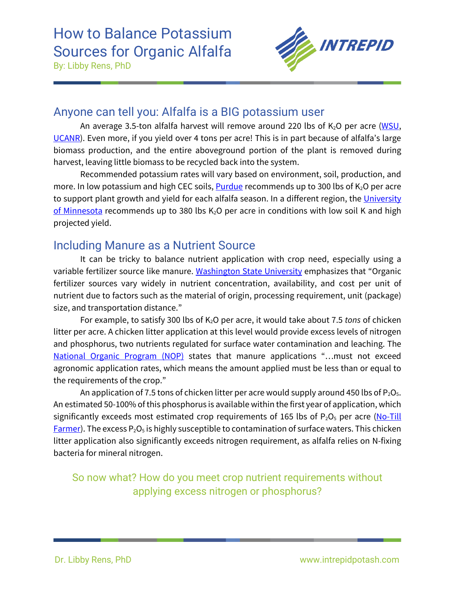

#### Anyone can tell you: Alfalfa is a BIG potassium user

An average 3.5-ton alfalfa harvest will remove around 220 lbs of  $K<sub>2</sub>O$  per acre [\(WSU,](http://smallgrains.wsu.edu/wp-content/uploads/2013/05/Organic-Alfalfa-mgmt-guide-1.pdf) [UCANR\)](https://ucanr.edu/sites/nm/files/76654.pdf). Even more, if you yield over 4 tons per acre! This is in part because of alfalfa's large biomass production, and the entire aboveground portion of the plant is removed during harvest, leaving little biomass to be recycled back into the system.

Recommended potassium rates will vary based on environment, soil, production, and more. In low potassium and high CEC soils, **Purdue** recommends up to 300 lbs of  $K_2O$  per acre to support plant growth and yield for each alfalfa season. In a different region, the University [of Minnesota](https://extension.umn.edu/crop-specific-needs/alfalfa-fertilizer-recommendations#phosphate-and-potash-1065212) recommends up to 380 lbs  $K<sub>2</sub>O$  per acre in conditions with low soil K and high projected yield.

### Including Manure as a Nutrient Source

It can be tricky to balance nutrient application with crop need, especially using a variable fertilizer source like manure. [Washington State University](http://smallgrains.wsu.edu/wp-content/uploads/2013/05/Organic-Alfalfa-mgmt-guide-1.pdf) emphasizes that "Organic fertilizer sources vary widely in nutrient concentration, availability, and cost per unit of nutrient due to factors such as the material of origin, processing requirement, unit (package) size, and transportation distance."

For example, to satisfy 300 lbs of K2O per acre, it would take about 7.5 *tons* of chicken litter per acre. A chicken litter application at this level would provide excess levels of nitrogen and phosphorus, two nutrients regulated for surface water contamination and leaching. The [National Organic Program \(NOP\)](https://eorganic.org/node/3132) states that manure applications "…must not exceed agronomic application rates, which means the amount applied must be less than or equal to the requirements of the crop."

An application of 7.5 tons of chicken litter per acre would supply around 450 lbs of  $P_2O_5$ . An estimated 50-100% of this phosphorus is available within the first year of application, which significantly exceeds most estimated crop requirements of 165 lbs of  $P_2O_5$  per acre (No-Till **[Farmer\)](https://www.no-tillfarmer.com/articles/6307-nutrient-availability-in-poultry-manure#:%7E:text=Field%20and%20laboratory%20studies%20suggest,percentage%20of%20the%20organic%20N.).** The excess  $P_2O_5$  is highly susceptible to contamination of surface waters. This chicken litter application also significantly exceeds nitrogen requirement, as alfalfa relies on N-fixing bacteria for mineral nitrogen.

#### So now what? How do you meet crop nutrient requirements without applying excess nitrogen or phosphorus?